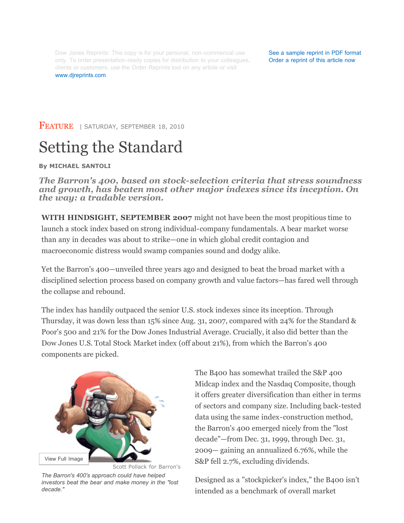Dow Jones Reprints: This copy is for your personal, non-commerical use only. To order presentation-ready copies for distribution to your colleagues, clients or customers, use the Order Reprints tool on any article or visit www.djreprints.com

See a sample reprint in PDF format Order a reprint of this article now

FEATURE | SATURDAY, SEPTEMBER 18, 2010

# Setting the Standard

#### **By MICHAEL SANTOLI**

*The Barron's 400, based on stock-selection criteria that stress soundness and growth, has beaten most other major indexes since its inception. On the way: a tradable version.*

**WITH HINDSIGHT, SEPTEMBER 2007** might not have been the most propitious time to launch a stock index based on strong individual-company fundamentals. A bear market worse than any in decades was about to strike—one in which global credit contagion and macroeconomic distress would swamp companies sound and dodgy alike.

Yet the Barron's 400—unveiled three years ago and designed to beat the broad market with a disciplined selection process based on company growth and value factors—has fared well through the collapse and rebound.

The index has handily outpaced the senior U.S. stock indexes since its inception. Through Thursday, it was down less than 15% since Aug. 31, 2007, compared with 24% for the Standard & Poor's 500 and 21% for the Dow Jones Industrial Average. Crucially, it also did better than the Dow Jones U.S. Total Stock Market index (off about 21%), from which the Barron's 400 components are picked.



*The Barron's 400's approach could have helped investors beat the bear and make money in the "lost decade."*

The B400 has somewhat trailed the S&P 400 Midcap index and the Nasdaq Composite, though it offers greater diversification than either in terms of sectors and company size. Including back-tested data using the same index-construction method, the Barron's 400 emerged nicely from the "lost decade"—from Dec. 31, 1999, through Dec. 31, 2009— gaining an annualized 6.76%, while the S&P fell 2.7%, excluding dividends.

Designed as a "stockpicker's index," the B400 isn't intended as a benchmark of overall market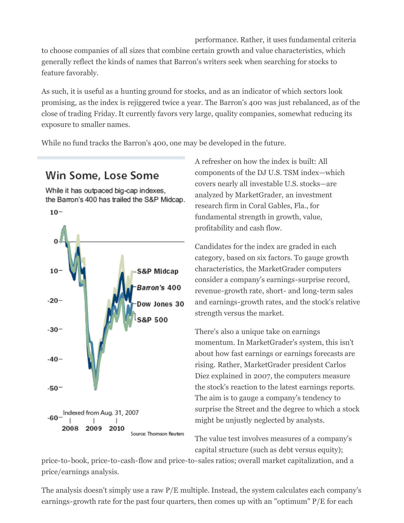performance. Rather, it uses fundamental criteria to choose companies of all sizes that combine certain growth and value characteristics, which generally reflect the kinds of names that Barron's writers seek when searching for stocks to feature favorably.

As such, it is useful as a hunting ground for stocks, and as an indicator of which sectors look promising, as the index is rejiggered twice a year. The Barron's 400 was just rebalanced, as of the close of trading Friday. It currently favors very large, quality companies, somewhat reducing its exposure to smaller names.

While no fund tracks the Barron's 400, one may be developed in the future.

## Win Some, Lose Some

While it has outpaced big-cap indexes, the Barron's 400 has trailed the S&P Midcap.



A refresher on how the index is built: All components of the DJ U.S. TSM index—which covers nearly all investable U.S. stocks—are analyzed by MarketGrader, an investment research firm in Coral Gables, Fla., for fundamental strength in growth, value, profitability and cash flow.

Candidates for the index are graded in each category, based on six factors. To gauge growth characteristics, the MarketGrader computers consider a company's earnings-surprise record, revenue-growth rate, short- and long-term sales and earnings-growth rates, and the stock's relative strength versus the market.

There's also a unique take on earnings momentum. In MarketGrader's system, this isn't about how fast earnings or earnings forecasts are rising. Rather, MarketGrader president Carlos Diez explained in 2007, the computers measure the stock's reaction to the latest earnings reports. The aim is to gauge a company's tendency to surprise the Street and the degree to which a stock might be unjustly neglected by analysts.

The value test involves measures of a company's capital structure (such as debt versus equity);

price-to-book, price-to-cash-flow and price-to-sales ratios; overall market capitalization, and a price/earnings analysis.

The analysis doesn't simply use a raw P/E multiple. Instead, the system calculates each company's earnings-growth rate for the past four quarters, then comes up with an "optimum" P/E for each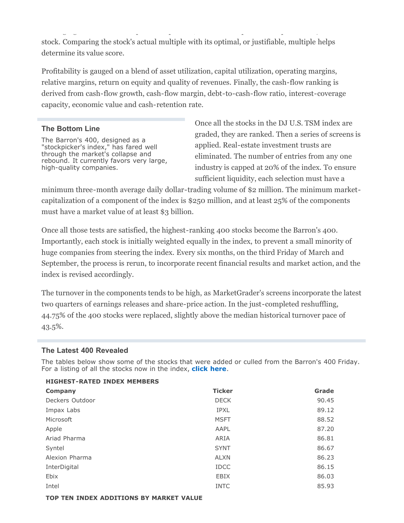earnings-growth rate for the past for the past for the past four  $\sigma$   $\sim$   $\sim$   $\sim$   $\sim$   $\sim$   $\sim$ stock. Comparing the stock's actual multiple with its optimal, or justifiable, multiple helps determine its value score.

Profitability is gauged on a blend of asset utilization, capital utilization, operating margins, relative margins, return on equity and quality of revenues. Finally, the cash-flow ranking is derived from cash-flow growth, cash-flow margin, debt-to-cash-flow ratio, interest-coverage capacity, economic value and cash-retention rate.

### **The Bottom Line**

The Barron's 400, designed as a "stockpicker's index," has fared well through the market's collapse and rebound. It currently favors very large, high-quality companies.

Once all the stocks in the DJ U.S. TSM index are graded, they are ranked. Then a series of screens is applied. Real-estate investment trusts are eliminated. The number of entries from any one industry is capped at 20% of the index. To ensure sufficient liquidity, each selection must have a

minimum three-month average daily dollar-trading volume of \$2 million. The minimum marketcapitalization of a component of the index is \$250 million, and at least 25% of the components must have a market value of at least \$3 billion.

Once all those tests are satisfied, the highest-ranking 400 stocks become the Barron's 400. Importantly, each stock is initially weighted equally in the index, to prevent a small minority of huge companies from steering the index. Every six months, on the third Friday of March and September, the process is rerun, to incorporate recent financial results and market action, and the index is revised accordingly.

The turnover in the components tends to be high, as MarketGrader's screens incorporate the latest two quarters of earnings releases and share-price action. In the just-completed reshuffling, 44.75% of the 400 stocks were replaced, slightly above the median historical turnover pace of 43.5%.

#### **The Latest 400 Revealed**

The tables below show some of the stocks that were added or culled from the Barron's 400 Friday. For a listing of all the stocks now in the index, **click here**.

| <b>HIGHEST-RATED INDEX MEMBERS</b> |               |       |  |
|------------------------------------|---------------|-------|--|
| Company                            | <b>Ticker</b> | Grade |  |
| Deckers Outdoor                    | <b>DECK</b>   | 90.45 |  |
| Impax Labs                         | <b>IPXL</b>   | 89.12 |  |
| Microsoft                          | <b>MSFT</b>   | 88.52 |  |
| Apple                              | AAPL          | 87.20 |  |
| Ariad Pharma                       | ARIA          | 86.81 |  |
| Syntel                             | <b>SYNT</b>   | 86.67 |  |
| Alexion Pharma                     | <b>ALXN</b>   | 86.23 |  |
| InterDigital                       | <b>IDCC</b>   | 86.15 |  |
| Ebix                               | <b>EBIX</b>   | 86.03 |  |
| Intel                              | <b>INTC</b>   | 85.93 |  |
|                                    |               |       |  |

#### **TOP TEN INDEX ADDITIONS BY MARKET VALUE**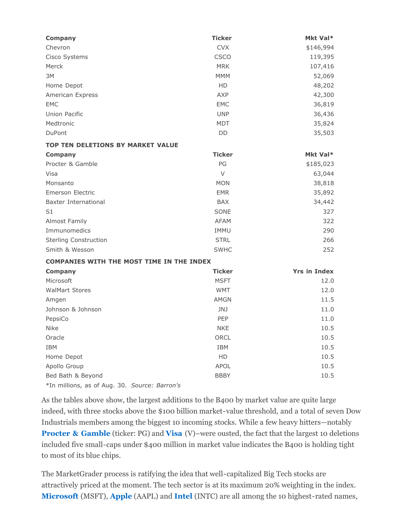| <b>Company</b>                                   | <b>Ticker</b> | Mkt Val*            |
|--------------------------------------------------|---------------|---------------------|
| Chevron                                          | <b>CVX</b>    | \$146,994           |
| Cisco Systems                                    | <b>CSCO</b>   | 119,395             |
| Merck                                            | <b>MRK</b>    | 107,416             |
| 3M                                               | <b>MMM</b>    | 52,069              |
| Home Depot                                       | HD            | 48,202              |
| American Express                                 | AXP           | 42,300              |
| <b>EMC</b>                                       | <b>EMC</b>    | 36,819              |
| Union Pacific                                    | <b>UNP</b>    | 36,436              |
| Medtronic                                        | <b>MDT</b>    | 35,824              |
| DuPont                                           | DD            | 35,503              |
| <b>TOP TEN DELETIONS BY MARKET VALUE</b>         |               |                     |
| <b>Company</b>                                   | <b>Ticker</b> | Mkt Val*            |
| Procter & Gamble                                 | PG            | \$185,023           |
| Visa                                             | $\vee$        | 63,044              |
| Monsanto                                         | <b>MON</b>    | 38,818              |
| <b>Emerson Electric</b>                          | <b>EMR</b>    | 35,892              |
| Baxter International                             | <b>BAX</b>    | 34,442              |
| S <sub>1</sub>                                   | SONE          | 327                 |
| Almost Family                                    | <b>AFAM</b>   | 322                 |
| Immunomedics                                     | IMMU          | 290                 |
| <b>Sterling Construction</b>                     | <b>STRL</b>   | 266                 |
| Smith & Wesson                                   | <b>SWHC</b>   | 252                 |
| <b>COMPANIES WITH THE MOST TIME IN THE INDEX</b> |               |                     |
| <b>Company</b>                                   | <b>Ticker</b> | <b>Yrs in Index</b> |
| Microsoft                                        | <b>MSFT</b>   | 12.0                |
| <b>WalMart Stores</b>                            | <b>WMT</b>    | 12.0                |
| Amgen                                            | <b>AMGN</b>   | 11.5                |
| Johnson & Johnson                                | <b>JNJ</b>    | 11.0                |
| PepsiCo                                          | PEP           | 11.0                |
| Nike                                             | <b>NKE</b>    | 10.5                |
| Oracle                                           | ORCL          | 10.5                |
| IBM                                              | IBM           | 10.5                |
| Home Depot                                       | HD            | 10.5                |
| Apollo Group                                     | APOL          | 10.5                |
| Bed Bath & Beyond                                | <b>BBBY</b>   | 10.5                |
| *In millions, as of Aug. 30. Source: Barron's    |               |                     |

As the tables above show, the largest additions to the B400 by market value are quite large indeed, with three stocks above the \$100 billion market-value threshold, and a total of seven Dow Industrials members among the biggest 10 incoming stocks. While a few heavy hitters—notably **Procter & Gamble** (ticker: PG) and **Visa** (V)–were ousted, the fact that the largest 10 deletions included five small-caps under \$400 million in market value indicates the B400 is holding tight to most of its blue chips.

The MarketGrader process is ratifying the idea that well-capitalized Big Tech stocks are attractively priced at the moment. The tech sector is at its maximum 20% weighting in the index. **Microsoft** (MSFT), **Apple** (AAPL) and **Intel** (INTC) are all among the 10 highest-rated names,